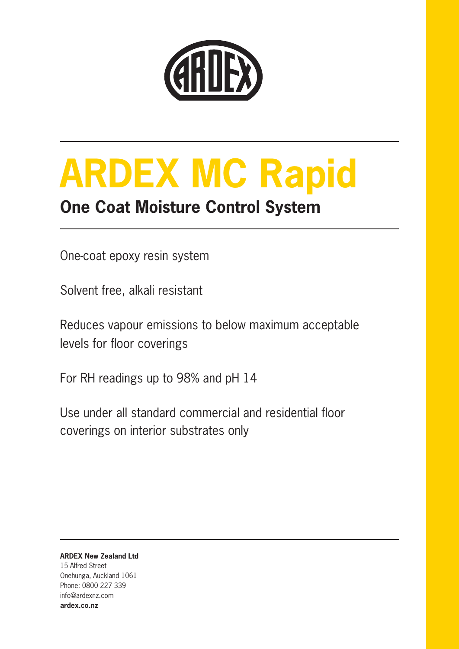

# **ARDEX MC Rapid**

### **One Coat Moisture Control System**

One-coat epoxy resin system

Solvent free, alkali resistant

Reduces vapour emissions to below maximum acceptable levels for floor coverings

For RH readings up to 98% and pH 14

Use under all standard commercial and residential floor coverings on interior substrates only

**ARDEX New Zealand Ltd** 15 Alfred Street Onehunga, Auckland 1061 Phone: 0800 227 339 info@ardexnz.com **ardex.co.nz**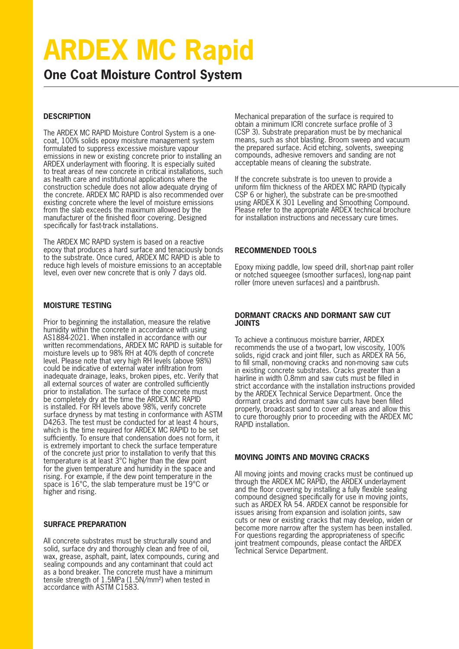## **ARDEX MC Rapid**

**One Coat Moisture Control System**

#### **DESCRIPTION**

The ARDEX MC RAPID Moisture Control System is a onecoat, 100% solids epoxy moisture management system formulated to suppress excessive moisture vapour emissions in new or existing concrete prior to installing an ARDEX underlayment with flooring. It is especially suited to treat areas of new concrete in critical installations, such as health care and institutional applications where the construction schedule does not allow adequate drying of the concrete. ARDEX MC RAPID is also recommended over existing concrete where the level of moisture emissions from the slab exceeds the maximum allowed by the manufacturer of the finished floor covering. Designed specifically for fast-track installations.

The ARDEX MC RAPID system is based on a reactive epoxy that produces a hard surface and tenaciously bonds to the substrate. Once cured, ARDEX MC RAPID is able to reduce high levels of moisture emissions to an acceptable level, even over new concrete that is only 7 days old.

#### **MOISTURE TESTING**

Prior to beginning the installation, measure the relative humidity within the concrete in accordance with using AS1884-2021. When installed in accordance with our written recommendations, ARDEX MC RAPID is suitable for moisture levels up to 98% RH at 40% depth of concrete level. Please note that very high RH levels (above 98%) could be indicative of external water infiltration from inadequate drainage, leaks, broken pipes, etc. Verify that all external sources of water are controlled sufficiently prior to installation. The surface of the concrete must be completely dry at the time the ARDEX MC RAPID is installed. For RH levels above 98%, verify concrete surface dryness by mat testing in conformance with ASTM D4263. The test must be conducted for at least 4 hours, which is the time required for ARDEX MC RAPID to be set sufficiently. To ensure that condensation does not form, it is extremely important to check the surface temperature of the concrete just prior to installation to verify that this temperature is at least 3°C higher than the dew point for the given temperature and humidity in the space and rising. For example, if the dew point temperature in the space is 16°C, the slab temperature must be 19°C or higher and rising.

#### **SURFACE PREPARATION**

All concrete substrates must be structurally sound and solid, surface dry and thoroughly clean and free of oil, wax, grease, asphalt, paint, latex compounds, curing and sealing compounds and any contaminant that could act as a bond breaker. The concrete must have a minimum tensile strength of 1.5MPa (1.5N/mm²) when tested in accordance with ASTM C1583.

Mechanical preparation of the surface is required to obtain a minimum ICRI concrete surface profile of 3 (CSP 3). Substrate preparation must be by mechanical means, such as shot blasting. Broom sweep and vacuum the prepared surface. Acid etching, solvents, sweeping compounds, adhesive removers and sanding are not acceptable means of cleaning the substrate.

If the concrete substrate is too uneven to provide a uniform film thickness of the ARDEX MC RAPID (typically CSP 6 or higher), the substrate can be pre-smoothed using ARDEX K 301 Levelling and Smoothing Compound. Please refer to the appropriate ARDEX technical brochure for installation instructions and necessary cure times.

#### **RECOMMENDED TOOLS**

Epoxy mixing paddle, low speed drill, short-nap paint roller or notched squeegee (smoother surfaces), long-nap paint roller (more uneven surfaces) and a paintbrush.

#### **DORMANT CRACKS AND DORMANT SAW CUT JOINTS**

To achieve a continuous moisture barrier, ARDEX recommends the use of a two-part, low viscosity, 100% solids, rigid crack and joint filler, such as ARDEX RA 56, to fill small, non-moving cracks and non-moving saw cuts in existing concrete substrates. Cracks greater than a hairline in width 0.8mm and saw cuts must be filled in strict accordance with the installation instructions provided by the ARDEX Technical Service Department. Once the dormant cracks and dormant saw cuts have been filled properly, broadcast sand to cover all areas and allow this to cure thoroughly prior to proceeding with the ARDEX MC RAPID installation.

#### **MOVING JOINTS AND MOVING CRACKS**

All moving joints and moving cracks must be continued up through the ARDEX MC RAPID, the ARDEX underlayment and the floor covering by installing a fully flexible sealing compound designed specifically for use in moving joints, such as ARDEX RA 54. ARDEX cannot be responsible for issues arising from expansion and isolation joints, saw cuts or new or existing cracks that may develop, widen or become more narrow after the system has been installed. For questions regarding the appropriateness of specific joint treatment compounds, please contact the ARDEX Technical Service Department.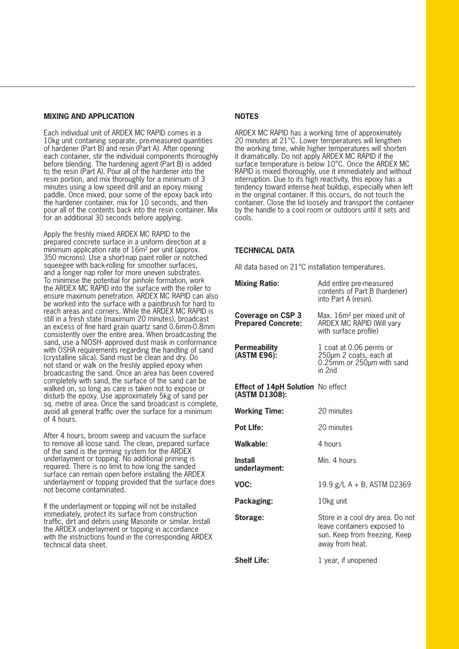#### **MIXING AND APPLICATION**

Each individual unit of ARDEX MC RAPID comes in a 10kg unit containing separate, pre-measured quantities of hardener (Part B) and resin (Part A). After opening each container, stir the individual components thoroughly before blending. The hardening agent (Part B) is added to the resin (Part A). Pour all of the hardener into the resin portion, and mix thoroughly for a minimum of 3 minutes using a low speed drill and an epoxy mixing paddle. Once mixed, pour some of the epoxy back into the hardener container, mix for 10 seconds, and then pour all of the contents back into the resin container. Mix for an additional 30 seconds before applying.

Apply the freshly mixed ARDEX MC RAPID to the prepared concrete surface in a uniform direction at a minimum application rate of 16m² per unit (approx. 350 microns). Use a short-nap paint roller or notched squeegee with back-rolling for smoother surfaces, and a longer nap roller for more uneven substrates. To minimise the potential for pinhole formation, work the ARDEX MC RAPID into the surface with the roller to ensure maximum penetration. ARDEX MC RAPID can also be worked into the surface with a paintbrush for hard to reach areas and corners. While the ARDEX MC RAPID is still in a fresh state (maximum 20 minutes), broadcast an excess of fine hard grain quartz sand 0.6mm-0.8mm consistently over the entire area. When broadcasting the sand, use a NIOSH- approved dust mask in conformance with OSHA requirements regarding the handling of sand (crystalline silica). Sand must be clean and dry. Do not stand or walk on the freshly applied epoxy when broadcasting the sand. Once an area has been covered completely with sand, the surface of the sand can be walked on, so long as care is taken not to expose or disturb the epoxy. Use approximately 5kg of sand per sq. metre of area. Once the sand broadcast is complete, avoid all general traffic over the surface for a minimum of 4 hours.

After 4 hours, broom sweep and vacuum the surface to remove all loose sand. The clean, prepared surface of the sand is the priming system for the ARDEX underlayment or topping. No additional priming is required. There is no limit to how long the sanded surface can remain open before installing the ARDEX underlayment or topping provided that the surface does not become contaminated.

If the underlayment or topping will not be installed immediately, protect its surface from construction traffic, dirt and debris using Masonite or similar. Install the ARDEX underlayment or topping in accordance with the instructions found in the corresponding ARDEX technical data sheet.

#### **NOTES**

ARDEX MC RAPID has a working time of approximately 20 minutes at 21°C. Lower temperatures will lengthen the working time, while higher temperatures will shorten it dramatically. Do not apply ARDEX MC RAPID if the surface temperature is below 10°C. Once the ARDEX MC RAPID is mixed thoroughly, use it immediately and without interruption. Due to its high reactivity, this epoxy has a tendency toward intense heat buildup, especially when left in the original container. If this occurs, do not touch the container. Close the lid loosely and transport the container by the handle to a cool room or outdoors until it sets and cools.

#### **TECHNICAL DATA**

All data based on 21°C installation temperatures.

| <b>Mixing Ratio:</b>                                      | Add entire pre-measured<br>contents of Part B (hardener)<br>into Part A (resin).                                    |
|-----------------------------------------------------------|---------------------------------------------------------------------------------------------------------------------|
| Coverage on CSP 3<br><b>Prepared Concrete:</b>            | Max. 16m <sup>2</sup> per mixed unit of<br>ARDEX MC RAPID (Will vary<br>with surface profile)                       |
| Permeability<br>(ASTM E96):                               | 1 coat at 0.06 perms or<br>250µm 2 coats, each at<br>$0.25$ mm or $250$ µm with sand<br>in 2nd                      |
| <b>Effect of 14pH Solution No effect</b><br>(ASTM D1308): |                                                                                                                     |
| <b>Working Time:</b>                                      | 20 minutes                                                                                                          |
| <b>Pot Life:</b>                                          | 20 minutes                                                                                                          |
| Walkable:                                                 | 4 hours                                                                                                             |
| Install<br>underlayment:                                  | Min. 4 hours                                                                                                        |
| VOC:                                                      | 19.9 g/L A + B, ASTM D2369                                                                                          |
| Packaging:                                                | 10kg unit                                                                                                           |
| Storage:                                                  | Store in a cool dry area. Do not<br>leave containers exposed to<br>sun. Keep from freezing. Keep<br>away from heat. |
| <b>Shelf Life:</b>                                        | 1 year, if unopened                                                                                                 |